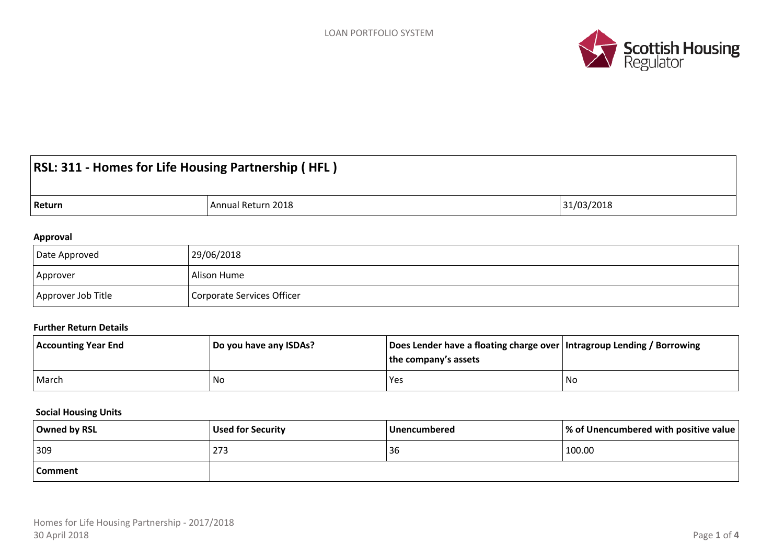

# **RSL: 311 - Homes for Life Housing Partnership ( HFL )**

| Return | Return 2018<br>Annua | 31/03/2018 |
|--------|----------------------|------------|
|--------|----------------------|------------|

#### **Approval**

| Date Approved      | 29/06/2018                 |
|--------------------|----------------------------|
| Approver           | Alison Hume                |
| Approver Job Title | Corporate Services Officer |

#### **Further Return Details**

| <b>Accounting Year End</b> | Do you have any ISDAs? | Does Lender have a floating charge over   Intragroup Lending / Borrowing<br>the company's assets |     |
|----------------------------|------------------------|--------------------------------------------------------------------------------------------------|-----|
| March                      | No                     | Yes                                                                                              | .No |

#### **Social Housing Units**

| Owned by RSL | Used for Security | Unencumbered | $\vert\%$ of Unencumbered with positive value $\vert\%$ |
|--------------|-------------------|--------------|---------------------------------------------------------|
| 309          | 273               | 36           | 100.00                                                  |
| Comment      |                   |              |                                                         |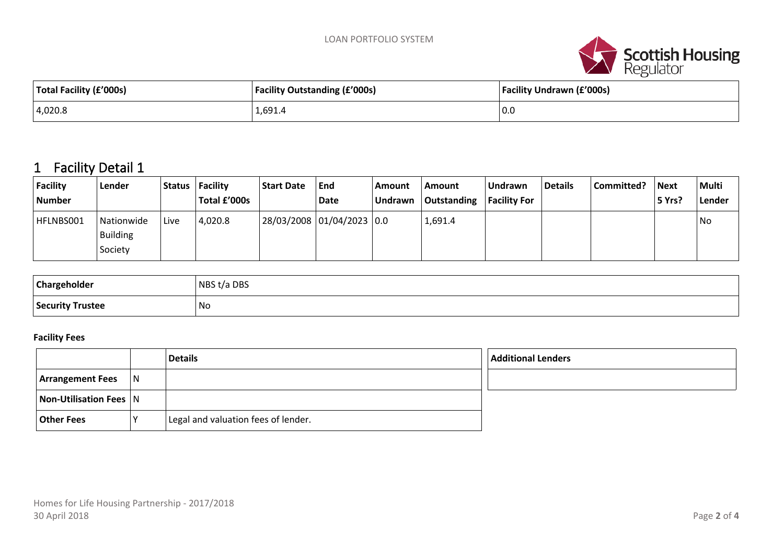

| Total Facility (£'000s) | <b>Facility Outstanding (£'000s)</b> | <b>Facility Undrawn (£'000s)</b> |  |  |
|-------------------------|--------------------------------------|----------------------------------|--|--|
| 4,020.8                 | 1,691.4                              | $\vert$ 0.0                      |  |  |

# **1 Facility Detail 1**

| Facility<br><b>Number</b> | Lender                            |      | Status   Facility<br>Total £'000s | <b>Start Date</b> | End<br>Date               | Amount<br><b>Undrawn</b> | Amount<br>  Outstanding | Undrawn<br><b>Facility For</b> | Details | Committed? | <b>Next</b><br>5 Yrs? | Multi<br>Lender |
|---------------------------|-----------------------------------|------|-----------------------------------|-------------------|---------------------------|--------------------------|-------------------------|--------------------------------|---------|------------|-----------------------|-----------------|
| HFLNBS001                 | Nationwide<br>Building<br>Society | Live | 4,020.8                           |                   | 28/03/2008 01/04/2023 0.0 |                          | 1,691.4                 |                                |         |            |                       | No              |

| Chargeholder     | NBS t/a DBS |
|------------------|-------------|
| Security Trustee | 'No         |

#### **Facility Fees**

|                         |     | <b>Details</b>                      | <b>Additional Lenders</b> |
|-------------------------|-----|-------------------------------------|---------------------------|
| <b>Arrangement Fees</b> | 1 N |                                     |                           |
| Non-Utilisation Fees N  |     |                                     |                           |
| <b>Other Fees</b>       |     | Legal and valuation fees of lender. |                           |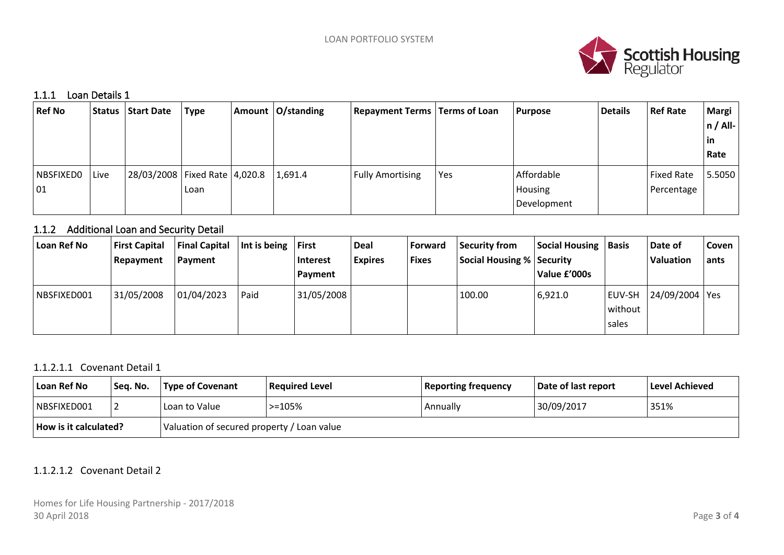

#### **1.1.1 Loan Details 1**

| <b>Ref No</b>    |      | <b>Status   Start Date</b>        | <b>Type</b> | Amount   O/standing | <b>Repayment Terms   Terms of Loan</b> |     | <b>Purpose</b> | <b>Details</b> | <b>Ref Rate</b>   | Margi       |
|------------------|------|-----------------------------------|-------------|---------------------|----------------------------------------|-----|----------------|----------------|-------------------|-------------|
|                  |      |                                   |             |                     |                                        |     |                |                |                   | $ n / All-$ |
|                  |      |                                   |             |                     |                                        |     |                |                |                   | $\vert$ in  |
|                  |      |                                   |             |                     |                                        |     |                |                |                   | Rate        |
| <b>NBSFIXEDO</b> | Live | 28/03/2008   Fixed Rate   4,020.8 |             | 1,691.4             | <b>Fully Amortising</b>                | Yes | Affordable     |                | <b>Fixed Rate</b> | 5.5050      |
| 01               |      |                                   | Loan        |                     |                                        |     | Housing        |                | Percentage        |             |
|                  |      |                                   |             |                     |                                        |     | Development    |                |                   |             |

# **1.1.2 Additional Loan and Security Detail**

| Loan Ref No | <b>First Capital</b><br>Repayment | <b>Final Capital</b><br>  Payment | Int is being | First<br>Interest<br>Payment | <b>Deal</b><br><b>Expires</b> | <b>Forward</b><br><b>Fixes</b> | <b>Security from</b><br>Social Housing %   Security | <b>Social Housing</b><br>Value £'000s | <i><b>Basis</b></i>        | Date of<br>Valuation | Coven<br>ants |
|-------------|-----------------------------------|-----------------------------------|--------------|------------------------------|-------------------------------|--------------------------------|-----------------------------------------------------|---------------------------------------|----------------------------|----------------------|---------------|
| NBSFIXED001 | 31/05/2008                        | 01/04/2023                        | Paid         | 31/05/2008                   |                               |                                | 100.00                                              | 6,921.0                               | EUV-SH<br>without<br>sales | 24/09/2004   Yes     |               |

### 1.1.2.1.1 Covenant Detail 1

| Loan Ref No                  | Seq. No. | Type of Covenant                           | Required Level | <b>Reporting frequency</b> | Date of last report | Level Achieved |
|------------------------------|----------|--------------------------------------------|----------------|----------------------------|---------------------|----------------|
| NBSFIXED001                  |          | Loan to Value                              | $> = 105%$     | Annually                   | 30/09/2017          | 351%           |
| <b>How is it calculated?</b> |          | Valuation of secured property / Loan value |                |                            |                     |                |

## 1.1.2.1.2 Covenant Detail 2